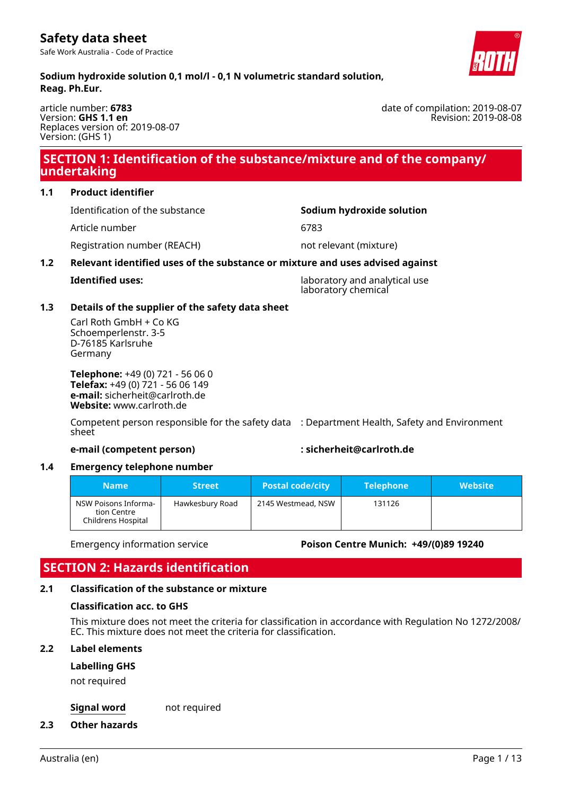Safe Work Australia - Code of Practice

**Sodium hydroxide solution 0,1 mol/l - 0,1 N volumetric standard solution, Reag. Ph.Eur.**

article number: **6783** Version: **GHS 1.1 en** Replaces version of: 2019-08-07 Version: (GHS 1)

# **SECTION 1: Identification of the substance/mixture and of the company/ undertaking**

### **1.1 Product identifier**

Identification of the substance **Sodium hydroxide solution**

Article number 6783

Registration number (REACH) not relevant (mixture)

### **1.2 Relevant identified uses of the substance or mixture and uses advised against**

**Identified uses:** laboratory and analytical use laboratory chemical

### **1.3 Details of the supplier of the safety data sheet**

Carl Roth GmbH + Co KG Schoemperlenstr. 3-5 D-76185 Karlsruhe Germany

**Telephone:** +49 (0) 721 - 56 06 0 **Telefax:** +49 (0) 721 - 56 06 149 **e-mail:** sicherheit@carlroth.de **Website:** www.carlroth.de

Competent person responsible for the safety data : Department Health, Safety and Environment sheet

### **e-mail (competent person) : sicherheit@carlroth.de**

### **1.4 Emergency telephone number**

| <b>Name</b>                                               | <b>Street</b>   | <b>Postal code/city</b> | <b>Telephone</b> | <b>Website</b> |
|-----------------------------------------------------------|-----------------|-------------------------|------------------|----------------|
| NSW Poisons Informa-<br>tion Centre<br>Childrens Hospital | Hawkesbury Road | 2145 Westmead, NSW      | 131126           |                |

### Emergency information service **Poison Centre Munich: +49/(0)89 19240**

# **SECTION 2: Hazards identification**

# **2.1 Classification of the substance or mixture**

# **Classification acc. to GHS**

This mixture does not meet the criteria for classification in accordance with Regulation No 1272/2008/ EC. This mixture does not meet the criteria for classification.

### **2.2 Label elements**

### **Labelling GHS**

not required

### **Signal word** not required

### **2.3 Other hazards**



date of compilation: 2019-08-07 Revision: 2019-08-08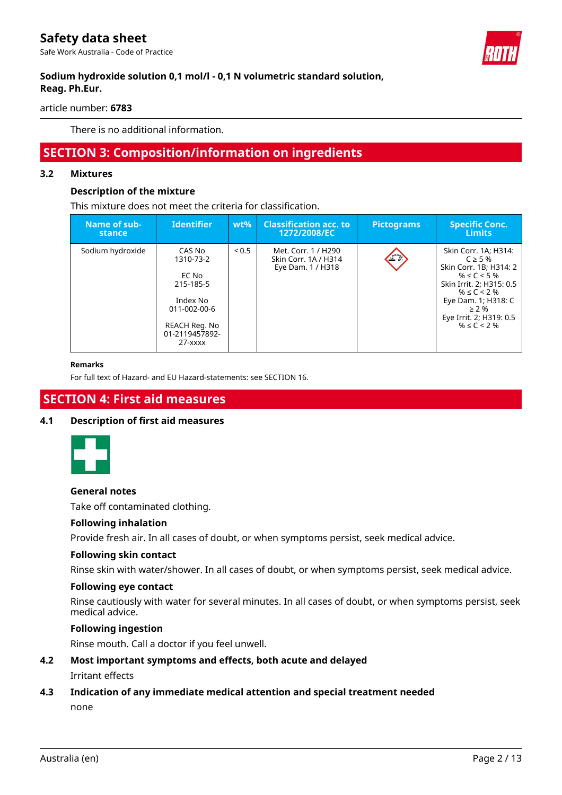Safe Work Australia - Code of Practice



### **Sodium hydroxide solution 0,1 mol/l - 0,1 N volumetric standard solution, Reag. Ph.Eur.**

article number: **6783**

There is no additional information.

# **SECTION 3: Composition/information on ingredients**

### **3.2 Mixtures**

### **Description of the mixture**

This mixture does not meet the criteria for classification.

| Name of sub-<br>stance | Identifier                                                                                                            | $wt\%$ | <b>Classification acc. to</b><br>1272/2008/EC                    | <b>Pictograms</b> | <b>Specific Conc.</b><br>'Limits.                                                                                                                                                                                |
|------------------------|-----------------------------------------------------------------------------------------------------------------------|--------|------------------------------------------------------------------|-------------------|------------------------------------------------------------------------------------------------------------------------------------------------------------------------------------------------------------------|
| Sodium hydroxide       | CAS No<br>1310-73-2<br>EC No<br>215-185-5<br>Index No<br>011-002-00-6<br>REACH Reg. No<br>01-2119457892-<br>$27  xxx$ | < 0.5  | Met. Corr. 1 / H290<br>Skin Corr. 1A / H314<br>Eye Dam. 1 / H318 | FX                | Skin Corr. 1A; H314:<br>$C \geq 5\%$<br>Skin Corr. 1B; H314: 2<br>$% \le C < 5$ %<br>Skin Irrit. 2; H315: 0.5<br>$% \le C < 2$ %<br>Eye Dam. 1; H318: C<br>$> 2\%$<br>Eye Irrit. 2; H319: 0.5<br>$% \le C < 2$ % |

#### **Remarks**

For full text of Hazard- and EU Hazard-statements: see SECTION 16.

# **SECTION 4: First aid measures**

### **4.1 Description of first aid measures**



#### **General notes**

Take off contaminated clothing.

### **Following inhalation**

Provide fresh air. In all cases of doubt, or when symptoms persist, seek medical advice.

### **Following skin contact**

Rinse skin with water/shower. In all cases of doubt, or when symptoms persist, seek medical advice.

#### **Following eye contact**

Rinse cautiously with water for several minutes. In all cases of doubt, or when symptoms persist, seek medical advice.

### **Following ingestion**

Rinse mouth. Call a doctor if you feel unwell.

- **4.2 Most important symptoms and effects, both acute and delayed** Irritant effects
- **4.3 Indication of any immediate medical attention and special treatment needed** none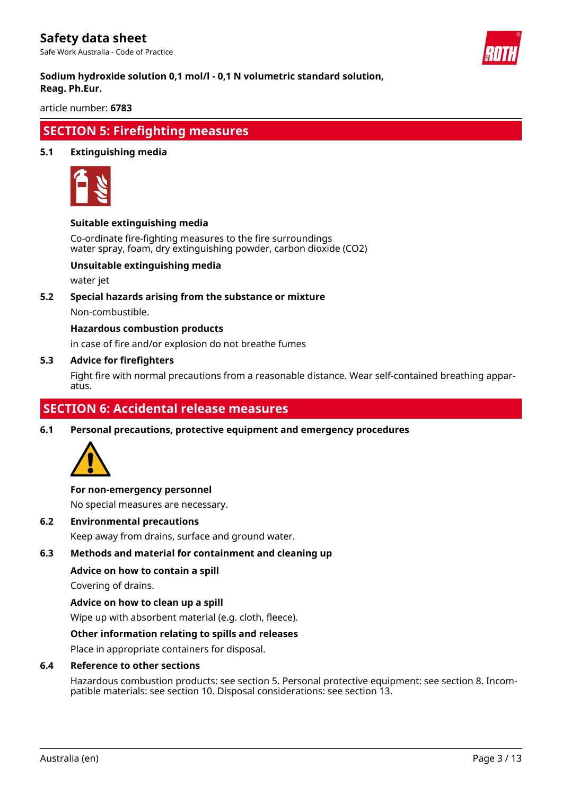Safe Work Australia - Code of Practice



### **Sodium hydroxide solution 0,1 mol/l - 0,1 N volumetric standard solution, Reag. Ph.Eur.**

article number: **6783**

# **SECTION 5: Firefighting measures**

### **5.1 Extinguishing media**



### **Suitable extinguishing media**

Co-ordinate fire-fighting measures to the fire surroundings water spray, foam, dry extinguishing powder, carbon dioxide (CO2)

### **Unsuitable extinguishing media**

water jet

**5.2 Special hazards arising from the substance or mixture**

Non-combustible.

### **Hazardous combustion products**

in case of fire and/or explosion do not breathe fumes

### **5.3 Advice for firefighters**

Fight fire with normal precautions from a reasonable distance. Wear self-contained breathing apparatus.

# **SECTION 6: Accidental release measures**

**6.1 Personal precautions, protective equipment and emergency procedures**



#### **For non-emergency personnel**

No special measures are necessary.

**6.2 Environmental precautions**

Keep away from drains, surface and ground water.

### **6.3 Methods and material for containment and cleaning up**

#### **Advice on how to contain a spill**

Covering of drains.

#### **Advice on how to clean up a spill**

Wipe up with absorbent material (e.g. cloth, fleece).

#### **Other information relating to spills and releases**

Place in appropriate containers for disposal.

### **6.4 Reference to other sections**

Hazardous combustion products: see section 5. Personal protective equipment: see section 8. Incompatible materials: see section 10. Disposal considerations: see section 13.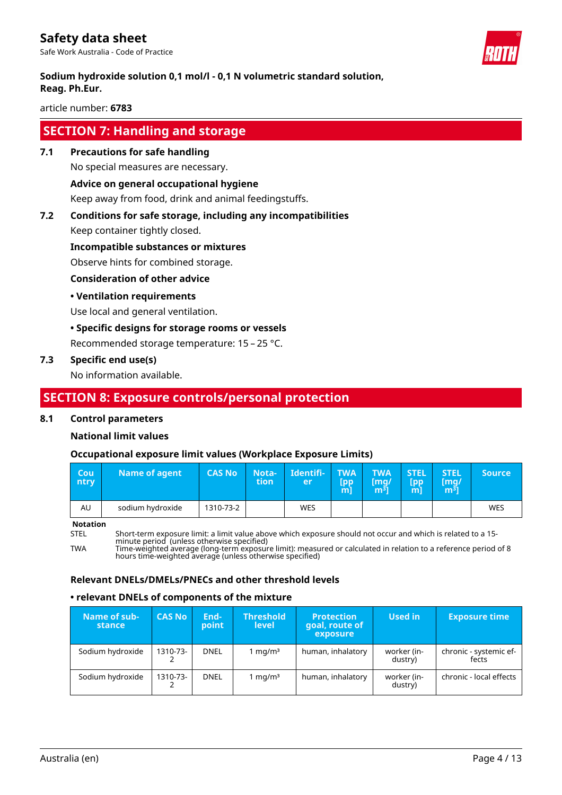Safe Work Australia - Code of Practice



### **Sodium hydroxide solution 0,1 mol/l - 0,1 N volumetric standard solution, Reag. Ph.Eur.**

article number: **6783**

# **SECTION 7: Handling and storage**

**7.1 Precautions for safe handling**

No special measures are necessary.

# **Advice on general occupational hygiene**

Keep away from food, drink and animal feedingstuffs.

## **7.2 Conditions for safe storage, including any incompatibilities**

Keep container tightly closed.

**Incompatible substances or mixtures**

Observe hints for combined storage.

### **Consideration of other advice**

### **• Ventilation requirements**

Use local and general ventilation.

### **• Specific designs for storage rooms or vessels**

Recommended storage temperature: 15 – 25 °C.

### **7.3 Specific end use(s)**

No information available.

# **SECTION 8: Exposure controls/personal protection**

### **8.1 Control parameters**

### **National limit values**

### **Occupational exposure limit values (Workplace Exposure Limits)**

| Cou'<br>ntry | Name of agent    | <b>CAS No</b> | Nota-<br>tion | Identifi-<br>er | <b>TWA</b><br>[pp<br>m | <b>TWA</b><br>$\mathsf{Im} q$ /<br>m31 | <b>STEL</b><br>[pp<br>m | <b>STEL</b><br>[mq/<br>m <sup>3</sup> | <b>Source</b> |
|--------------|------------------|---------------|---------------|-----------------|------------------------|----------------------------------------|-------------------------|---------------------------------------|---------------|
| AU           | sodium hydroxide | 1310-73-2     |               | <b>WES</b>      |                        |                                        |                         |                                       | <b>WES</b>    |

**Notation**

STEL Short-term exposure limit: a limit value above which exposure should not occur and which is related to a 15 minute period (unless otherwise specified)

TWA Time-weighted average (long-term exposure limit): measured or calculated in relation to a reference period of 8 hours time-weighted average (unless otherwise specified)

### **Relevant DNELs/DMELs/PNECs and other threshold levels**

### **• relevant DNELs of components of the mixture**

| Name of sub-<br>stance | <b>CAS No</b> | End-<br>point | <b>Threshold</b><br><b>level</b> | <b>Protection</b><br>goal, route of<br>exposure | Used in                | <b>Exposure time</b>            |
|------------------------|---------------|---------------|----------------------------------|-------------------------------------------------|------------------------|---------------------------------|
| Sodium hydroxide       | 1310-73-      | <b>DNEL</b>   | 1 mg/m $3$                       | human, inhalatory                               | worker (in-<br>dustry) | chronic - systemic ef-<br>fects |
| Sodium hydroxide       | 1310-73-      | <b>DNEL</b>   | 1 mg/m $^3$                      | human, inhalatory                               | worker (in-<br>dustry) | chronic - local effects         |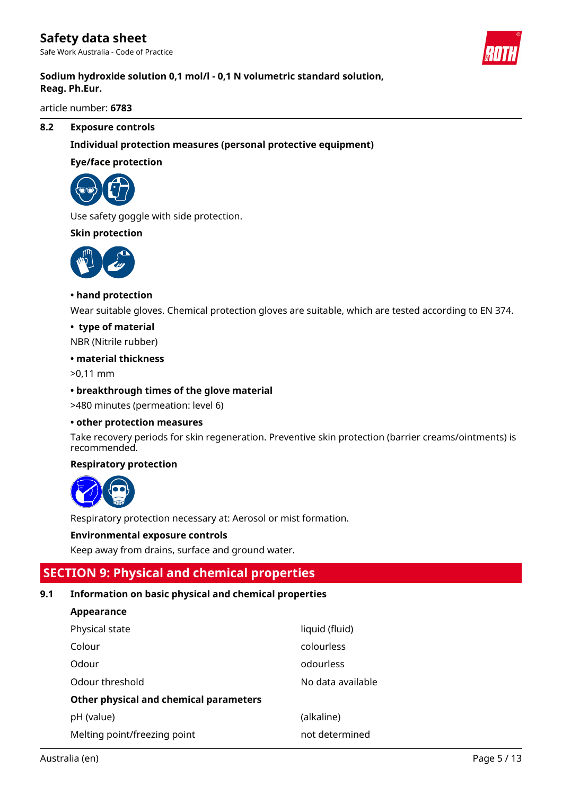Safe Work Australia - Code of Practice



### **Sodium hydroxide solution 0,1 mol/l - 0,1 N volumetric standard solution, Reag. Ph.Eur.**

article number: **6783**

### **8.2 Exposure controls**

### **Individual protection measures (personal protective equipment)**

### **Eye/face protection**



Use safety goggle with side protection.

### **Skin protection**



### **• hand protection**

Wear suitable gloves. Chemical protection gloves are suitable, which are tested according to EN 374.

### **• type of material**

NBR (Nitrile rubber)

### **• material thickness**

>0,11 mm

### **• breakthrough times of the glove material**

>480 minutes (permeation: level 6)

#### **• other protection measures**

Take recovery periods for skin regeneration. Preventive skin protection (barrier creams/ointments) is recommended.

### **Respiratory protection**



Respiratory protection necessary at: Aerosol or mist formation.

### **Environmental exposure controls**

Keep away from drains, surface and ground water.

# **SECTION 9: Physical and chemical properties**

### **9.1 Information on basic physical and chemical properties**

### **Appearance**

| Physical state                         | liquid (fluid)    |
|----------------------------------------|-------------------|
| Colour                                 | colourless        |
| Odour                                  | odourless         |
| Odour threshold                        | No data available |
| Other physical and chemical parameters |                   |
| pH (value)                             | (alkaline)        |
| Melting point/freezing point           | not determined    |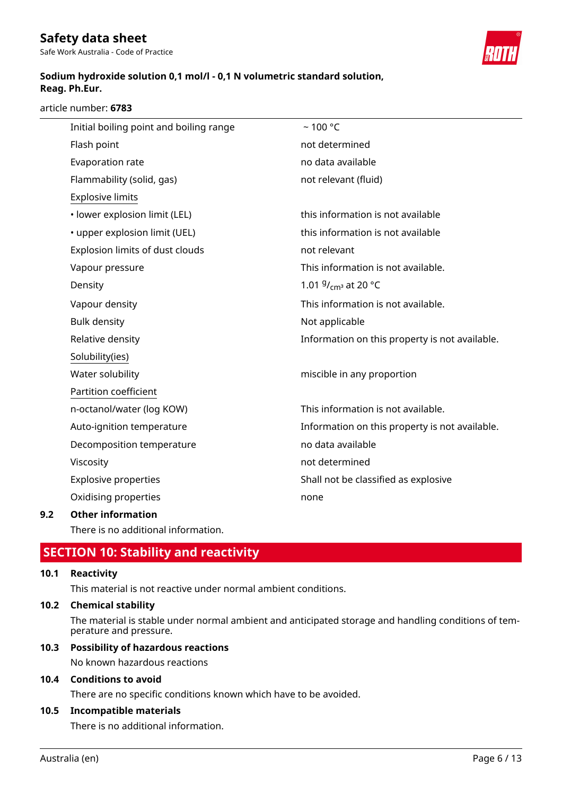Safe Work Australia - Code of Practice

### **Sodium hydroxide solution 0,1 mol/l - 0,1 N volumetric standard solution, Reag. Ph.Eur.**

article number: **6783**

| Initial boiling point and boiling range | $~100$ °C                                      |
|-----------------------------------------|------------------------------------------------|
| Flash point                             | not determined                                 |
| Evaporation rate                        | no data available                              |
| Flammability (solid, gas)               | not relevant (fluid)                           |
| <b>Explosive limits</b>                 |                                                |
| · lower explosion limit (LEL)           | this information is not available              |
| • upper explosion limit (UEL)           | this information is not available              |
| Explosion limits of dust clouds         | not relevant                                   |
| Vapour pressure                         | This information is not available.             |
| Density                                 | 1.01 $9/$ <sub>cm</sub> at 20 °C               |
| Vapour density                          | This information is not available.             |
| <b>Bulk density</b>                     | Not applicable                                 |
| Relative density                        | Information on this property is not available. |
| Solubility(ies)                         |                                                |
| Water solubility                        | miscible in any proportion                     |
| Partition coefficient                   |                                                |
| n-octanol/water (log KOW)               | This information is not available.             |
| Auto-ignition temperature               | Information on this property is not available. |
| Decomposition temperature               | no data available                              |
| Viscosity                               | not determined                                 |
| <b>Explosive properties</b>             | Shall not be classified as explosive           |
| Oxidising properties                    | none                                           |
| <b>Other information</b>                |                                                |

There is no additional information.

# **SECTION 10: Stability and reactivity**

### **10.1 Reactivity**

**9.2** 

This material is not reactive under normal ambient conditions.

### **10.2 Chemical stability**

The material is stable under normal ambient and anticipated storage and handling conditions of temperature and pressure.

### **10.3 Possibility of hazardous reactions**

No known hazardous reactions

### **10.4 Conditions to avoid**

There are no specific conditions known which have to be avoided.

### **10.5 Incompatible materials**

There is no additional information.

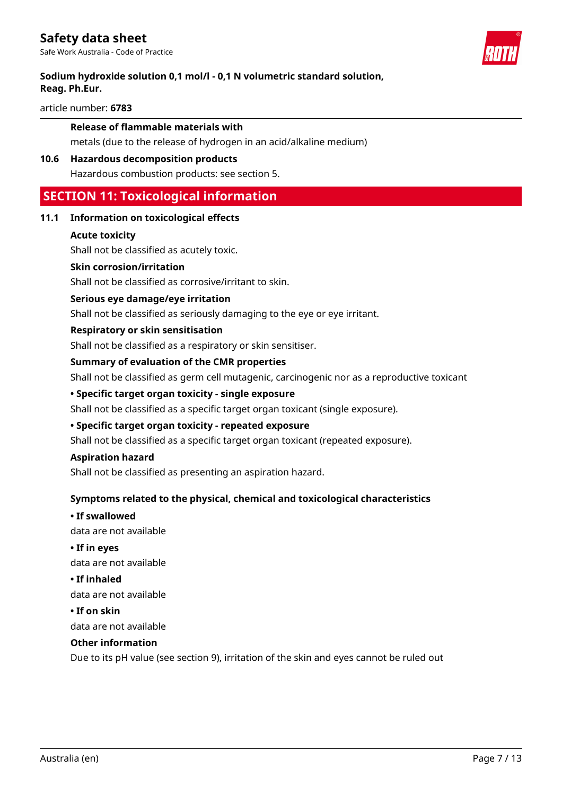Safe Work Australia - Code of Practice



### **Sodium hydroxide solution 0,1 mol/l - 0,1 N volumetric standard solution, Reag. Ph.Eur.**

article number: **6783**

### **Release of flammable materials with**

metals (due to the release of hydrogen in an acid/alkaline medium)

#### **10.6 Hazardous decomposition products**

Hazardous combustion products: see section 5.

# **SECTION 11: Toxicological information**

### **11.1 Information on toxicological effects**

#### **Acute toxicity**

Shall not be classified as acutely toxic.

#### **Skin corrosion/irritation**

Shall not be classified as corrosive/irritant to skin.

#### **Serious eye damage/eye irritation**

Shall not be classified as seriously damaging to the eye or eye irritant.

#### **Respiratory or skin sensitisation**

Shall not be classified as a respiratory or skin sensitiser.

#### **Summary of evaluation of the CMR properties**

Shall not be classified as germ cell mutagenic, carcinogenic nor as a reproductive toxicant

### **• Specific target organ toxicity - single exposure**

Shall not be classified as a specific target organ toxicant (single exposure).

#### **• Specific target organ toxicity - repeated exposure**

Shall not be classified as a specific target organ toxicant (repeated exposure).

#### **Aspiration hazard**

Shall not be classified as presenting an aspiration hazard.

### **Symptoms related to the physical, chemical and toxicological characteristics**

### **• If swallowed**

data are not available

### **• If in eyes**

data are not available

### **• If inhaled**

data are not available

### **• If on skin**

data are not available

### **Other information**

Due to its pH value (see section 9), irritation of the skin and eyes cannot be ruled out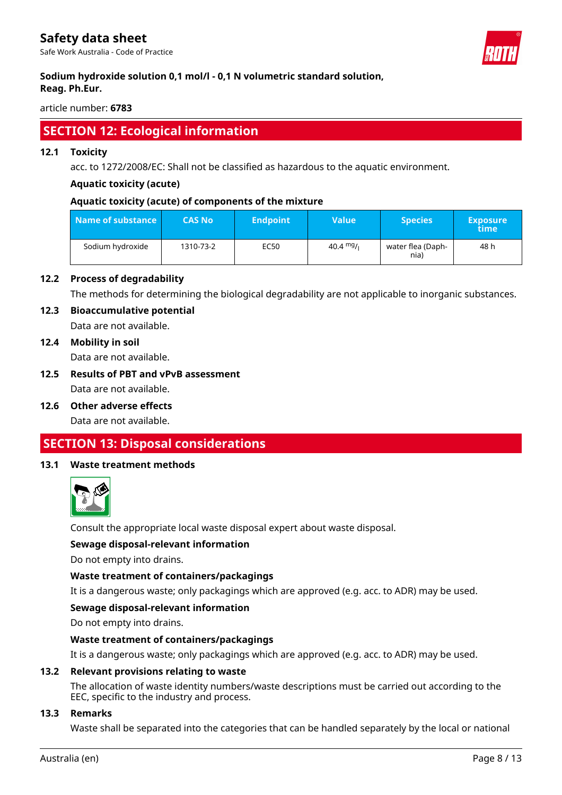Safe Work Australia - Code of Practice



### **Sodium hydroxide solution 0,1 mol/l - 0,1 N volumetric standard solution, Reag. Ph.Eur.**

article number: **6783**

# **SECTION 12: Ecological information**

### **12.1 Toxicity**

acc. to 1272/2008/EC: Shall not be classified as hazardous to the aquatic environment.

### **Aquatic toxicity (acute)**

### **Aquatic toxicity (acute) of components of the mixture**

| Name of substance | <b>CAS No</b> | <b>Endpoint</b> | <b>Value</b> | <b>Species</b>            | <b>Exposure</b><br>time |
|-------------------|---------------|-----------------|--------------|---------------------------|-------------------------|
| Sodium hydroxide  | 1310-73-2     | EC50            | 40.4 $mg/$   | water flea (Daph-<br>nia) | 48 h                    |

### **12.2 Process of degradability**

The methods for determining the biological degradability are not applicable to inorganic substances.

### **12.3 Bioaccumulative potential**

Data are not available.

### **12.4 Mobility in soil**

Data are not available.

# **12.5 Results of PBT and vPvB assessment**

Data are not available.

**12.6 Other adverse effects**

Data are not available.

# **SECTION 13: Disposal considerations**

### **13.1 Waste treatment methods**



Consult the appropriate local waste disposal expert about waste disposal.

### **Sewage disposal-relevant information**

Do not empty into drains.

### **Waste treatment of containers/packagings**

It is a dangerous waste; only packagings which are approved (e.g. acc. to ADR) may be used.

### **Sewage disposal-relevant information**

Do not empty into drains.

### **Waste treatment of containers/packagings**

It is a dangerous waste; only packagings which are approved (e.g. acc. to ADR) may be used.

### **13.2 Relevant provisions relating to waste**

The allocation of waste identity numbers/waste descriptions must be carried out according to the EEC, specific to the industry and process.

### **13.3 Remarks**

Waste shall be separated into the categories that can be handled separately by the local or national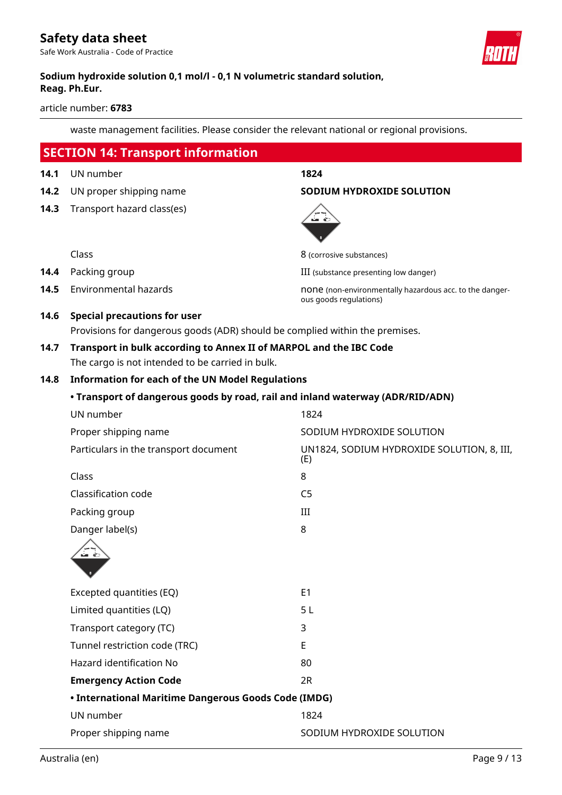Safe Work Australia - Code of Practice



### **Sodium hydroxide solution 0,1 mol/l - 0,1 N volumetric standard solution, Reag. Ph.Eur.**

article number: **6783**

waste management facilities. Please consider the relevant national or regional provisions.

|      | <b>SECTION 14: Transport information</b>                                       |                                                                                   |
|------|--------------------------------------------------------------------------------|-----------------------------------------------------------------------------------|
| 14.1 | UN number                                                                      | 1824                                                                              |
| 14.2 | UN proper shipping name                                                        | <b>SODIUM HYDROXIDE SOLUTION</b>                                                  |
| 14.3 | Transport hazard class(es)                                                     | ⊷ €                                                                               |
|      | Class                                                                          | 8 (corrosive substances)                                                          |
| 14.4 | Packing group                                                                  | III (substance presenting low danger)                                             |
| 14.5 | <b>Environmental hazards</b>                                                   | none (non-environmentally hazardous acc. to the danger-<br>ous goods regulations) |
| 14.6 | <b>Special precautions for user</b>                                            |                                                                                   |
|      | Provisions for dangerous goods (ADR) should be complied within the premises.   |                                                                                   |
| 14.7 | Transport in bulk according to Annex II of MARPOL and the IBC Code             |                                                                                   |
|      | The cargo is not intended to be carried in bulk.                               |                                                                                   |
| 14.8 | <b>Information for each of the UN Model Regulations</b>                        |                                                                                   |
|      | • Transport of dangerous goods by road, rail and inland waterway (ADR/RID/ADN) |                                                                                   |
|      | UN number                                                                      | 1824                                                                              |
|      | Proper shipping name                                                           | SODIUM HYDROXIDE SOLUTION                                                         |
|      | Particulars in the transport document                                          | UN1824, SODIUM HYDROXIDE SOLUTION, 8, III,<br>(E)                                 |
|      | Class                                                                          | 8                                                                                 |
|      | Classification code                                                            | C <sub>5</sub>                                                                    |
|      | Packing group                                                                  | Ш                                                                                 |
|      | Danger label(s)                                                                | 8                                                                                 |
|      | ள்                                                                             |                                                                                   |
|      | Excepted quantities (EQ)                                                       | E <sub>1</sub>                                                                    |
|      | Limited quantities (LQ)                                                        | 5L                                                                                |
|      | Transport category (TC)                                                        | 3                                                                                 |
|      | Tunnel restriction code (TRC)                                                  | E                                                                                 |
|      | <b>Hazard identification No</b>                                                | 80                                                                                |
|      | <b>Emergency Action Code</b>                                                   | 2R                                                                                |
|      | • International Maritime Dangerous Goods Code (IMDG)                           |                                                                                   |
|      | UN number                                                                      | 1824                                                                              |
|      | Proper shipping name                                                           | SODIUM HYDROXIDE SOLUTION                                                         |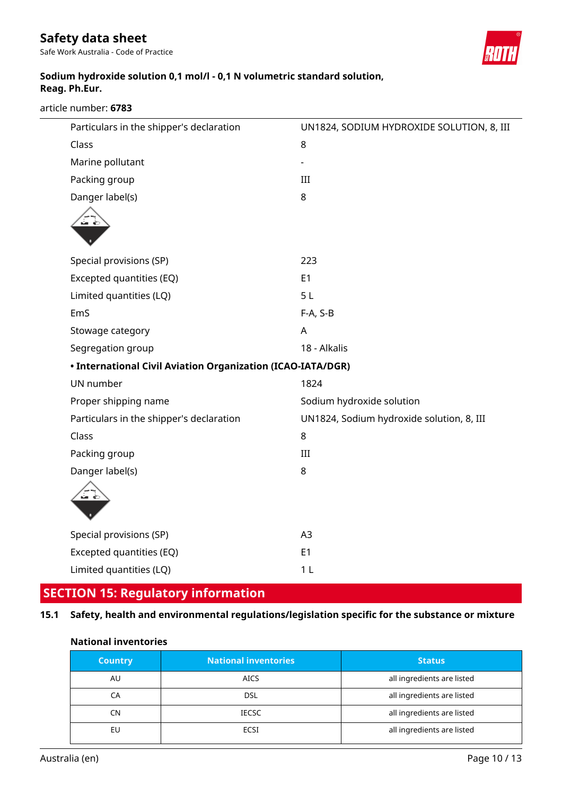Safe Work Australia - Code of Practice



## **Sodium hydroxide solution 0,1 mol/l - 0,1 N volumetric standard solution, Reag. Ph.Eur.**

article number: **6783**

| Particulars in the shipper's declaration                    | UN1824, SODIUM HYDROXIDE SOLUTION, 8, III |
|-------------------------------------------------------------|-------------------------------------------|
| Class                                                       | 8                                         |
| Marine pollutant                                            |                                           |
| Packing group                                               | III                                       |
| Danger label(s)                                             | 8                                         |
| ⊶ ⊜                                                         |                                           |
|                                                             |                                           |
| Special provisions (SP)                                     | 223                                       |
| Excepted quantities (EQ)                                    | E <sub>1</sub>                            |
| Limited quantities (LQ)                                     | 5L                                        |
| EmS                                                         | F-A, S-B                                  |
| Stowage category                                            | A                                         |
| Segregation group                                           | 18 - Alkalis                              |
| • International Civil Aviation Organization (ICAO-IATA/DGR) |                                           |
| UN number                                                   | 1824                                      |
| Proper shipping name                                        | Sodium hydroxide solution                 |
| Particulars in the shipper's declaration                    | UN1824, Sodium hydroxide solution, 8, III |
| Class                                                       | 8                                         |
| Packing group                                               | $\rm III$                                 |
| Danger label(s)                                             | 8                                         |
| ≔ ∈ੋ                                                        |                                           |
|                                                             |                                           |
| Special provisions (SP)                                     | A3                                        |
| Excepted quantities (EQ)                                    | E <sub>1</sub>                            |
| Limited quantities (LQ)                                     | 1 <sub>L</sub>                            |
|                                                             |                                           |

# **SECTION 15: Regulatory information**

# **15.1 Safety, health and environmental regulations/legislation specific for the substance or mixture**

| <b>Country</b> | <b>National inventories</b> | <b>Status</b>              |
|----------------|-----------------------------|----------------------------|
| AU             | <b>AICS</b>                 | all ingredients are listed |
| СA             | <b>DSL</b>                  | all ingredients are listed |
| CN             | <b>IECSC</b>                | all ingredients are listed |
| EU             | ECSI                        | all ingredients are listed |

### **National inventories**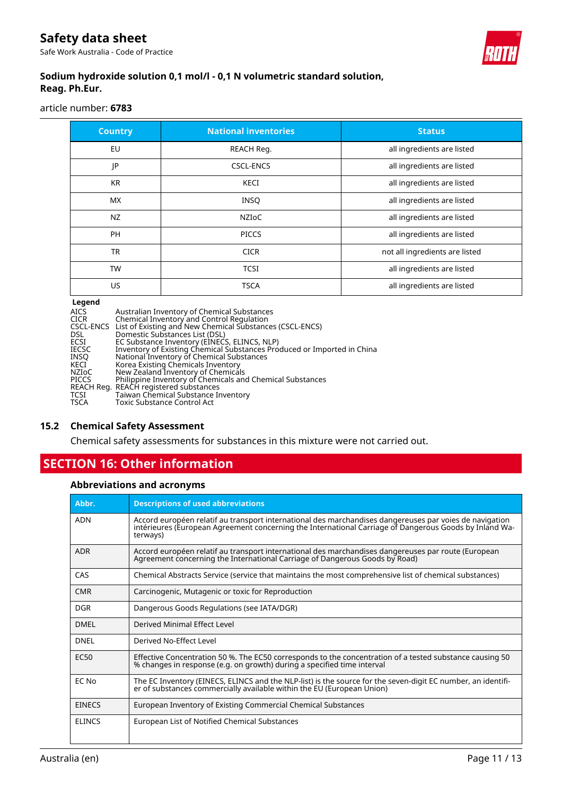Safe Work Australia - Code of Practice



## **Sodium hydroxide solution 0,1 mol/l - 0,1 N volumetric standard solution, Reag. Ph.Eur.**

article number: **6783**

| <b>Country</b> | <b>National inventories</b> | <b>Status</b>                  |
|----------------|-----------------------------|--------------------------------|
| <b>EU</b>      | REACH Req.                  | all ingredients are listed     |
| JP             | <b>CSCL-ENCS</b>            | all ingredients are listed     |
| <b>KR</b>      | <b>KECI</b>                 | all ingredients are listed     |
| <b>MX</b>      | <b>INSQ</b>                 | all ingredients are listed     |
| NZ             | <b>NZIOC</b>                | all ingredients are listed     |
| <b>PH</b>      | <b>PICCS</b>                | all ingredients are listed     |
| <b>TR</b>      | <b>CICR</b>                 | not all ingredients are listed |
| <b>TW</b>      | <b>TCSI</b>                 | all ingredients are listed     |
| US.            | <b>TSCA</b>                 | all ingredients are listed     |

#### **Legend**

| Australian Inventory of Chemical Substances                             |
|-------------------------------------------------------------------------|
| Chemical Inventory and Control Regulation                               |
| CSCL-ENCS List of Existing and New Chemical Substances (CSCL-ENCS)      |
| Domestic Substances List (DSL)                                          |
| EC Substance Inventory (EINECS, ELINCS, NLP)                            |
| Inventory of Existing Chemical Substances Produced or Imported in China |
| National Inventory of Chemical Substances                               |
| Korea Existing Chemicals Inventory                                      |
| New Zealand Inventory of Chemicals                                      |
| Philippine Inventory of Chemicals and Chemical Substances               |
| REACH Reg. REACH registered substances                                  |
| Taiwan Chemical Substance Inventory                                     |
| Toxic Substance Control Act                                             |
|                                                                         |

### **15.2 Chemical Safety Assessment**

Chemical safety assessments for substances in this mixture were not carried out.

# **SECTION 16: Other information**

### **Abbreviations and acronyms**

| Abbr.         | <b>Descriptions of used abbreviations</b>                                                                                                                                                                                     |
|---------------|-------------------------------------------------------------------------------------------------------------------------------------------------------------------------------------------------------------------------------|
| <b>ADN</b>    | Accord européen relatif au transport international des marchandises dangereuses par voies de navigation<br>intérieures (European Agreement concerning the International Carriage of Dangerous Goods by Inland Wa-<br>terways) |
| <b>ADR</b>    | Accord européen relatif au transport international des marchandises dangereuses par route (European<br>Agreement concerning the International Carriage of Dangerous Goods by Road)                                            |
| CAS           | Chemical Abstracts Service (service that maintains the most comprehensive list of chemical substances)                                                                                                                        |
| <b>CMR</b>    | Carcinogenic, Mutagenic or toxic for Reproduction                                                                                                                                                                             |
| <b>DGR</b>    | Dangerous Goods Regulations (see IATA/DGR)                                                                                                                                                                                    |
| <b>DMFI</b>   | Derived Minimal Effect Level                                                                                                                                                                                                  |
| <b>DNEL</b>   | Derived No-Effect Level                                                                                                                                                                                                       |
| <b>EC50</b>   | Effective Concentration 50 %. The EC50 corresponds to the concentration of a tested substance causing 50<br>% changes in response (e.g. on growth) during a specified time interval                                           |
| EC No         | The EC Inventory (EINECS, ELINCS and the NLP-list) is the source for the seven-digit EC number, an identifi-<br>er of substances commercially available within the EU (European Union)                                        |
| <b>EINECS</b> | European Inventory of Existing Commercial Chemical Substances                                                                                                                                                                 |
| <b>ELINCS</b> | European List of Notified Chemical Substances                                                                                                                                                                                 |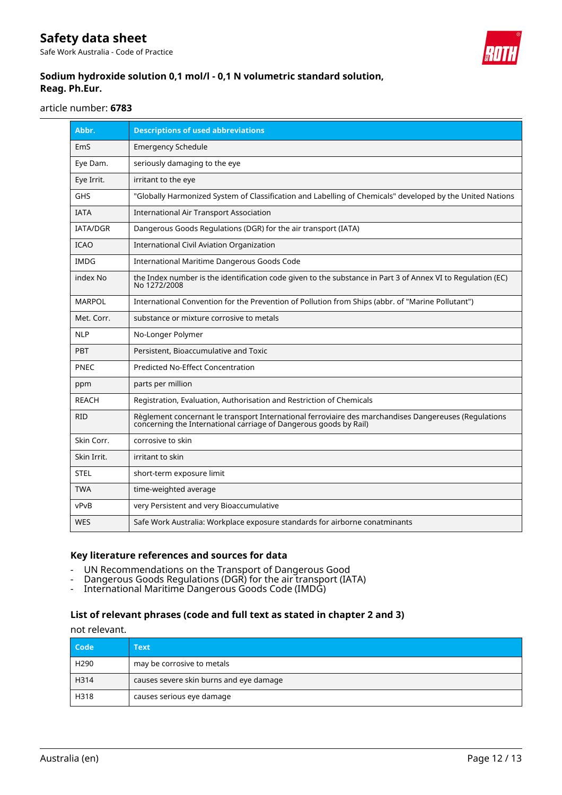Safe Work Australia - Code of Practice



## **Sodium hydroxide solution 0,1 mol/l - 0,1 N volumetric standard solution, Reag. Ph.Eur.**

article number: **6783**

| Abbr.           | <b>Descriptions of used abbreviations</b>                                                                                                                                  |
|-----------------|----------------------------------------------------------------------------------------------------------------------------------------------------------------------------|
| EmS             | <b>Emergency Schedule</b>                                                                                                                                                  |
| Eye Dam.        | seriously damaging to the eye                                                                                                                                              |
| Eye Irrit.      | irritant to the eye                                                                                                                                                        |
| <b>GHS</b>      | "Globally Harmonized System of Classification and Labelling of Chemicals" developed by the United Nations                                                                  |
| <b>IATA</b>     | <b>International Air Transport Association</b>                                                                                                                             |
| <b>IATA/DGR</b> | Dangerous Goods Regulations (DGR) for the air transport (IATA)                                                                                                             |
| <b>ICAO</b>     | <b>International Civil Aviation Organization</b>                                                                                                                           |
| <b>IMDG</b>     | International Maritime Dangerous Goods Code                                                                                                                                |
| index No        | the Index number is the identification code given to the substance in Part 3 of Annex VI to Regulation (EC)<br>No 1272/2008                                                |
| <b>MARPOL</b>   | International Convention for the Prevention of Pollution from Ships (abbr. of "Marine Pollutant")                                                                          |
| Met. Corr.      | substance or mixture corrosive to metals                                                                                                                                   |
| <b>NLP</b>      | No-Longer Polymer                                                                                                                                                          |
| <b>PBT</b>      | Persistent, Bioaccumulative and Toxic                                                                                                                                      |
| <b>PNEC</b>     | <b>Predicted No-Effect Concentration</b>                                                                                                                                   |
| ppm             | parts per million                                                                                                                                                          |
| <b>REACH</b>    | Registration, Evaluation, Authorisation and Restriction of Chemicals                                                                                                       |
| <b>RID</b>      | Règlement concernant le transport International ferroviaire des marchandises Dangereuses (Regulations<br>concerning the International carriage of Dangerous goods by Rail) |
| Skin Corr.      | corrosive to skin                                                                                                                                                          |
| Skin Irrit.     | irritant to skin                                                                                                                                                           |
| <b>STEL</b>     | short-term exposure limit                                                                                                                                                  |
| <b>TWA</b>      | time-weighted average                                                                                                                                                      |
| vPvB            | very Persistent and very Bioaccumulative                                                                                                                                   |
| <b>WES</b>      | Safe Work Australia: Workplace exposure standards for airborne conatminants                                                                                                |

### **Key literature references and sources for data**

- UN Recommendations on the Transport of Dangerous Good
- Dangerous Goods Regulations (DGR) for the air transport (IATA)
- International Maritime Dangerous Goods Code (IMDG)

### **List of relevant phrases (code and full text as stated in chapter 2 and 3)**

not relevant.

| Code             | Text                                    |
|------------------|-----------------------------------------|
| H <sub>290</sub> | may be corrosive to metals              |
| H314             | causes severe skin burns and eye damage |
| H318             | causes serious eye damage               |